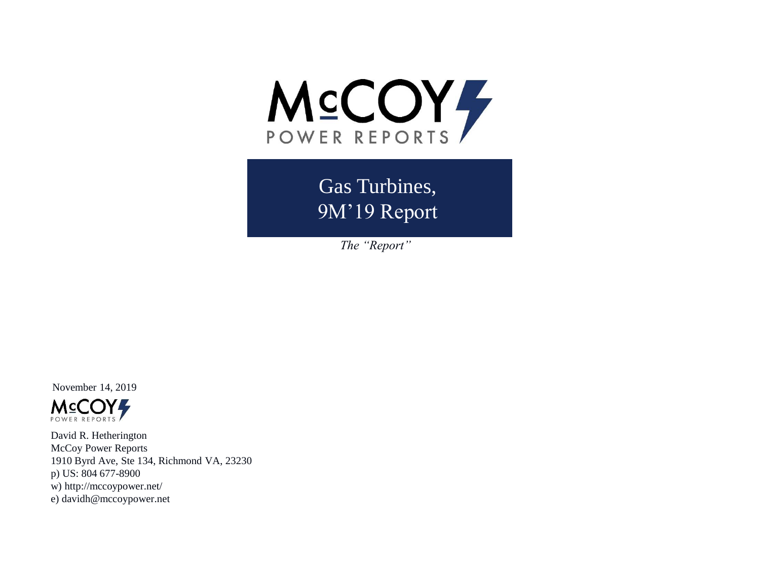

Gas Turbines, 9M'19 Report

*The "Report"*

November 14, 2019



David R. Hetherington McCoy Power Reports 1910 Byrd Ave, Ste 134, Richmond VA, 23230 p) US: 804 677-8900 w) http://mccoypower.net/ e) davidh@mccoypower.net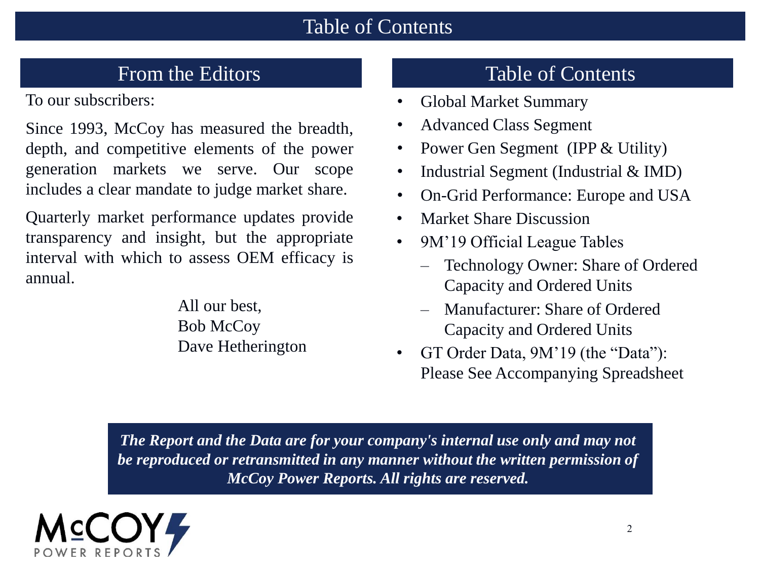#### Table of Contents

To our subscribers:

Since 1993, McCoy has measured the breadth, depth, and competitive elements of the power generation markets we serve. Our scope includes a clear mandate to judge market share.

Quarterly market performance updates provide transparency and insight, but the appropriate interval with which to assess OEM efficacy is annual.

> All our best, Bob McCoy Dave Hetherington

# From the Editors Table of Contents

- Global Market Summary
- Advanced Class Segment
- Power Gen Segment (IPP & Utility)
- Industrial Segment (Industrial & IMD)
- On-Grid Performance: Europe and USA
- Market Share Discussion
- 9M'19 Official League Tables
	- Technology Owner: Share of Ordered Capacity and Ordered Units
	- Manufacturer: Share of Ordered Capacity and Ordered Units
- GT Order Data, 9M'19 (the "Data"): Please See Accompanying Spreadsheet

*The Report and the Data are for your company's internal use only and may not be reproduced or retransmitted in any manner without the written permission of McCoy Power Reports. All rights are reserved.*

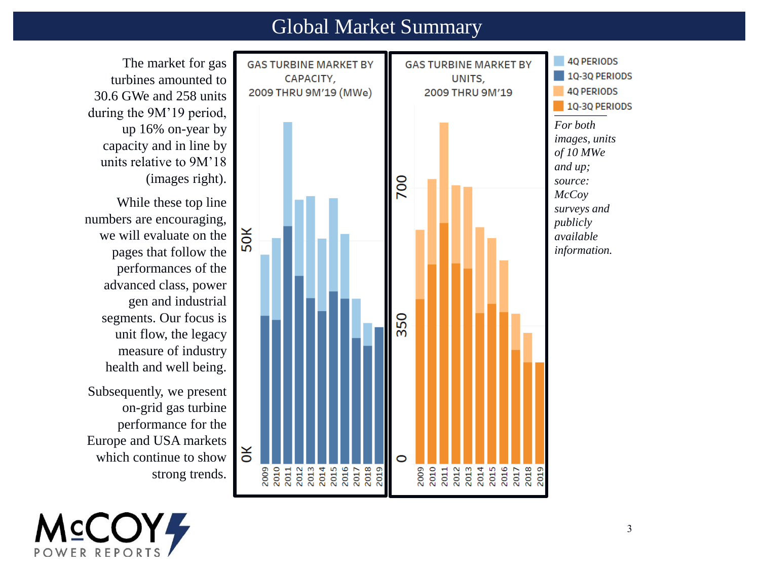#### Global Market Summary

The market for gas turbines amounted to 30.6 GWe and 258 units during the 9M'19 period, up 16% on-year by capacity and in line by units relative to 9M'18 (images right).

While these top line numbers are encouraging, we will evaluate on the pages that follow the performances of the advanced class, power gen and industrial segments. Our focus is unit flow, the legacy measure of industry health and well being.

Subsequently, we present on-grid gas turbine performance for the Europe and USA markets which continue to show strong trends.



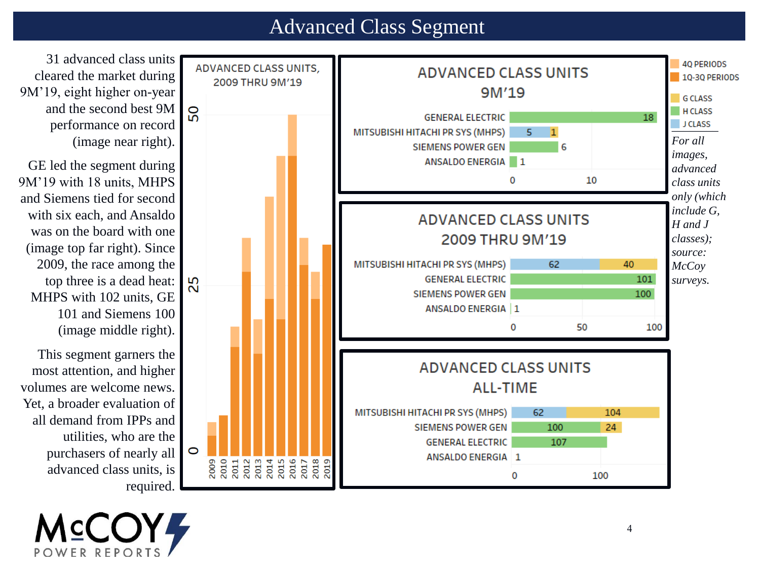#### Advanced Class Segment



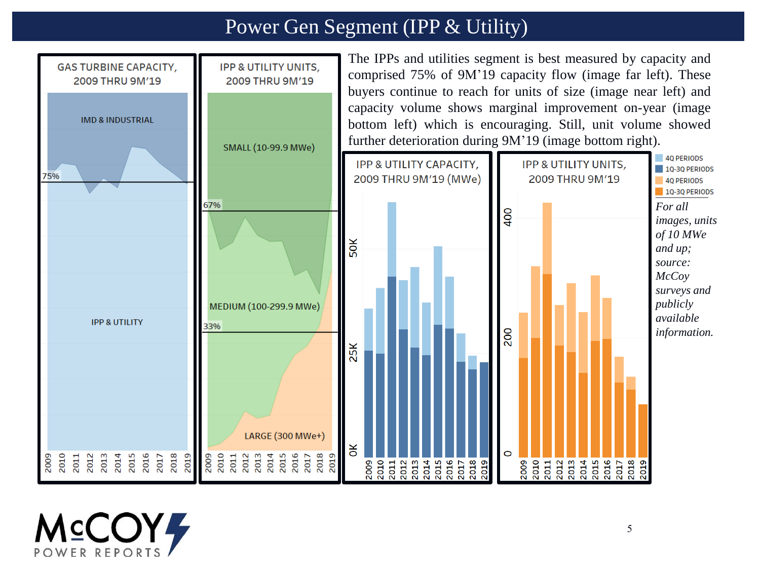# Power Gen Segment (IPP & Utility)



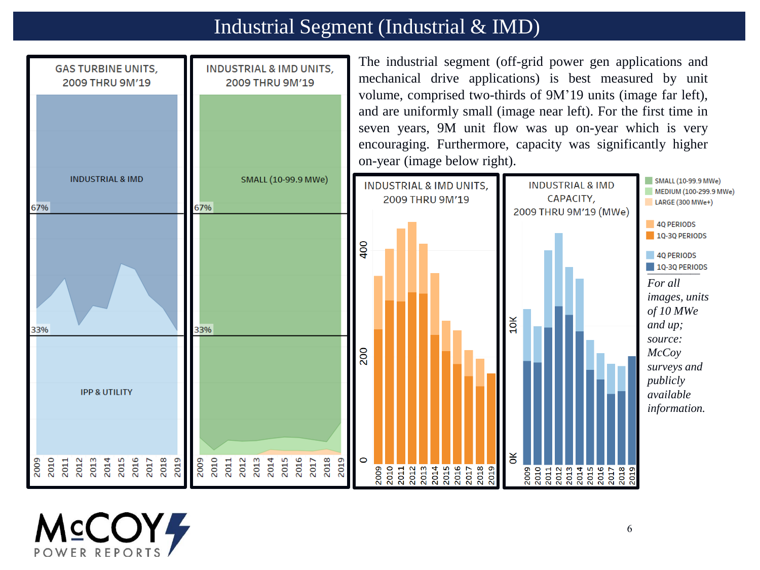# Industrial Segment (Industrial & IMD)



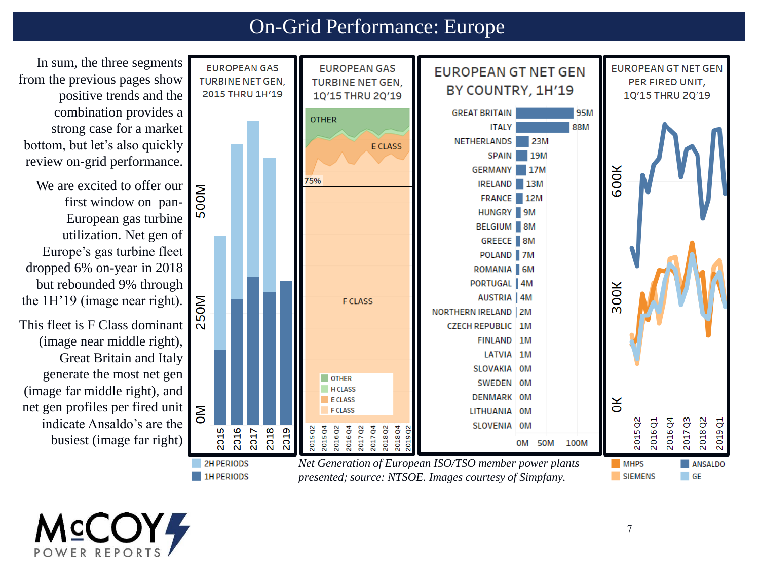## On-Grid Performance: Europe



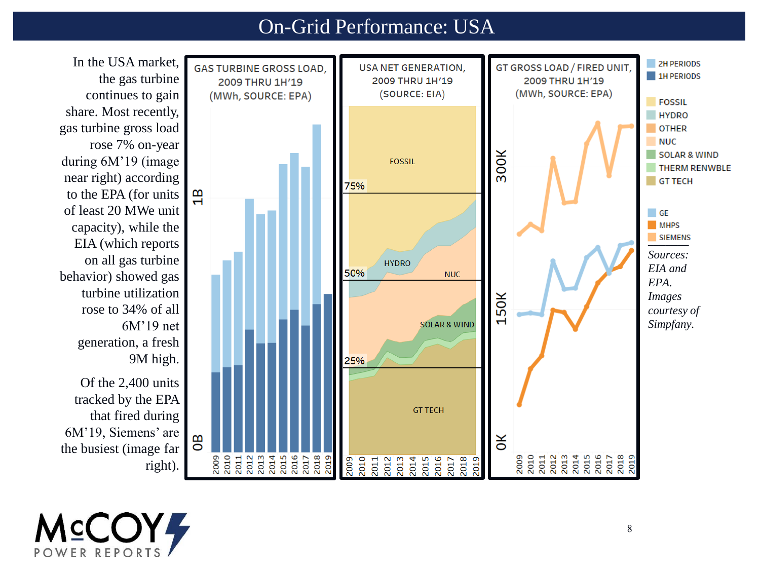## On -Grid Performance: USA



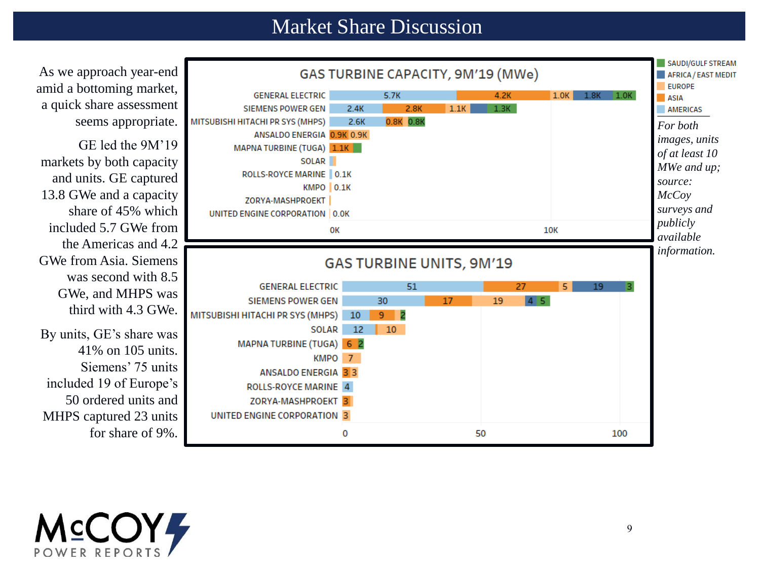#### Market Share Discussion